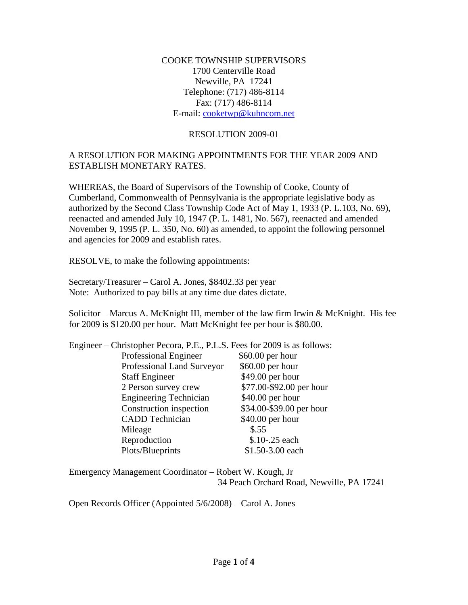COOKE TOWNSHIP SUPERVISORS 1700 Centerville Road Newville, PA 17241 Telephone: (717) 486-8114 Fax: (717) 486-8114 E-mail: [cooketwp@kuhncom.net](mailto:cooketwp@kuhncom.net)

#### RESOLUTION 2009-01

#### A RESOLUTION FOR MAKING APPOINTMENTS FOR THE YEAR 2009 AND ESTABLISH MONETARY RATES.

WHEREAS, the Board of Supervisors of the Township of Cooke, County of Cumberland, Commonwealth of Pennsylvania is the appropriate legislative body as authorized by the Second Class Township Code Act of May 1, 1933 (P. L.103, No. 69), reenacted and amended July 10, 1947 (P. L. 1481, No. 567), reenacted and amended November 9, 1995 (P. L. 350, No. 60) as amended, to appoint the following personnel and agencies for 2009 and establish rates.

RESOLVE, to make the following appointments:

Secretary/Treasurer – Carol A. Jones, \$8402.33 per year Note: Authorized to pay bills at any time due dates dictate.

Solicitor – Marcus A. McKnight III, member of the law firm Irwin & McKnight. His fee for 2009 is \$120.00 per hour. Matt McKnight fee per hour is \$80.00.

| Engineer – Christopher Pecora, P.E., P.L.S. Fees for 2009 is as follows: |                          |  |
|--------------------------------------------------------------------------|--------------------------|--|
| Professional Engineer                                                    | \$60.00 per hour         |  |
| Professional Land Surveyor                                               | \$60.00 per hour         |  |
| <b>Staff Engineer</b>                                                    | \$49.00 per hour         |  |
| 2 Person survey crew                                                     | \$77.00-\$92.00 per hour |  |
| <b>Engineering Technician</b>                                            | \$40.00 per hour         |  |
| Construction inspection                                                  | \$34.00-\$39.00 per hour |  |
| <b>CADD</b> Technician                                                   | \$40.00 per hour         |  |
| Mileage                                                                  | \$.55                    |  |
| Reproduction                                                             | \$.10-.25 each           |  |
| Plots/Blueprints                                                         | \$1.50-3.00 each         |  |
|                                                                          |                          |  |

Emergency Management Coordinator – Robert W. Kough, Jr 34 Peach Orchard Road, Newville, PA 17241

Open Records Officer (Appointed 5/6/2008) – Carol A. Jones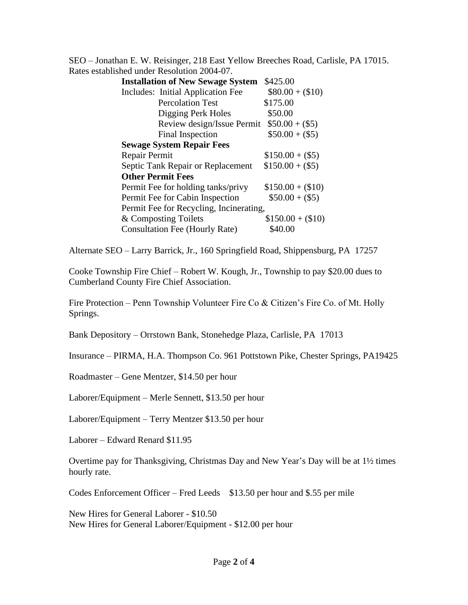SEO – Jonathan E. W. Reisinger, 218 East Yellow Breeches Road, Carlisle, PA 17015. Rates established under Resolution 2004-07.

| <b>Installation of New Sewage System</b> | \$425.00          |
|------------------------------------------|-------------------|
| Includes: Initial Application Fee        | $$80.00 + ($10)$  |
| <b>Percolation Test</b>                  | \$175.00          |
| Digging Perk Holes                       | \$50.00           |
| Review design/Issue Permit               | $$50.00 + ($5)$   |
| Final Inspection                         | $$50.00 + ($5)$   |
| <b>Sewage System Repair Fees</b>         |                   |
| Repair Permit                            | $$150.00 + ($5)$  |
| Septic Tank Repair or Replacement        | $$150.00 + ($5)$  |
| <b>Other Permit Fees</b>                 |                   |
| Permit Fee for holding tanks/privy       | $$150.00 + ($10)$ |
| Permit Fee for Cabin Inspection          | $$50.00 + ($5)$   |
| Permit Fee for Recycling, Incinerating,  |                   |
| & Composting Toilets                     | $$150.00 + ($10)$ |
| Consultation Fee (Hourly Rate)           | \$40.00           |

Alternate SEO – Larry Barrick, Jr., 160 Springfield Road, Shippensburg, PA 17257

Cooke Township Fire Chief – Robert W. Kough, Jr., Township to pay \$20.00 dues to Cumberland County Fire Chief Association.

Fire Protection – Penn Township Volunteer Fire Co & Citizen's Fire Co. of Mt. Holly Springs.

Bank Depository – Orrstown Bank, Stonehedge Plaza, Carlisle, PA 17013

Insurance – PIRMA, H.A. Thompson Co. 961 Pottstown Pike, Chester Springs, PA19425

Roadmaster – Gene Mentzer, \$14.50 per hour

Laborer/Equipment – Merle Sennett, \$13.50 per hour

Laborer/Equipment – Terry Mentzer \$13.50 per hour

Laborer – Edward Renard \$11.95

Overtime pay for Thanksgiving, Christmas Day and New Year's Day will be at 1½ times hourly rate.

Codes Enforcement Officer – Fred Leeds \$13.50 per hour and \$.55 per mile

New Hires for General Laborer - \$10.50 New Hires for General Laborer/Equipment - \$12.00 per hour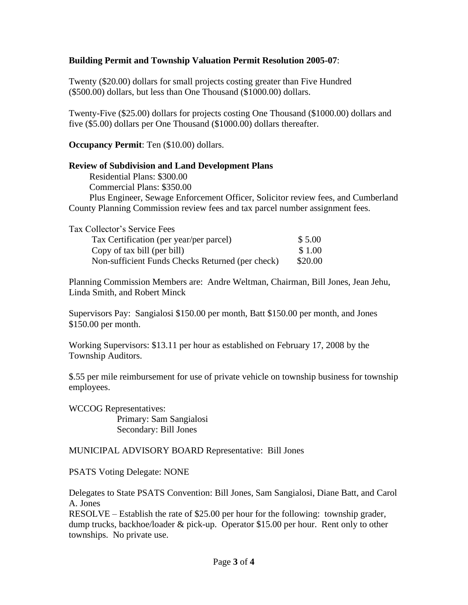## **Building Permit and Township Valuation Permit Resolution 2005-07**:

Twenty (\$20.00) dollars for small projects costing greater than Five Hundred (\$500.00) dollars, but less than One Thousand (\$1000.00) dollars.

Twenty-Five (\$25.00) dollars for projects costing One Thousand (\$1000.00) dollars and five (\$5.00) dollars per One Thousand (\$1000.00) dollars thereafter.

**Occupancy Permit**: Ten (\$10.00) dollars.

## **Review of Subdivision and Land Development Plans**

 Residential Plans: \$300.00 Commercial Plans: \$350.00 Plus Engineer, Sewage Enforcement Officer, Solicitor review fees, and Cumberland County Planning Commission review fees and tax parcel number assignment fees.

| Tax Collector's Service Fees                     |         |
|--------------------------------------------------|---------|
| Tax Certification (per year/per parcel)          | \$5.00  |
| Copy of tax bill (per bill)                      | \$1.00  |
| Non-sufficient Funds Checks Returned (per check) | \$20.00 |

Planning Commission Members are: Andre Weltman, Chairman, Bill Jones, Jean Jehu, Linda Smith, and Robert Minck

Supervisors Pay: Sangialosi \$150.00 per month, Batt \$150.00 per month, and Jones \$150.00 per month.

Working Supervisors: \$13.11 per hour as established on February 17, 2008 by the Township Auditors.

\$.55 per mile reimbursement for use of private vehicle on township business for township employees.

WCCOG Representatives: Primary: Sam Sangialosi Secondary: Bill Jones

## MUNICIPAL ADVISORY BOARD Representative: Bill Jones

PSATS Voting Delegate: NONE

Delegates to State PSATS Convention: Bill Jones, Sam Sangialosi, Diane Batt, and Carol A. Jones

RESOLVE – Establish the rate of \$25.00 per hour for the following: township grader, dump trucks, backhoe/loader & pick-up. Operator \$15.00 per hour. Rent only to other townships. No private use.